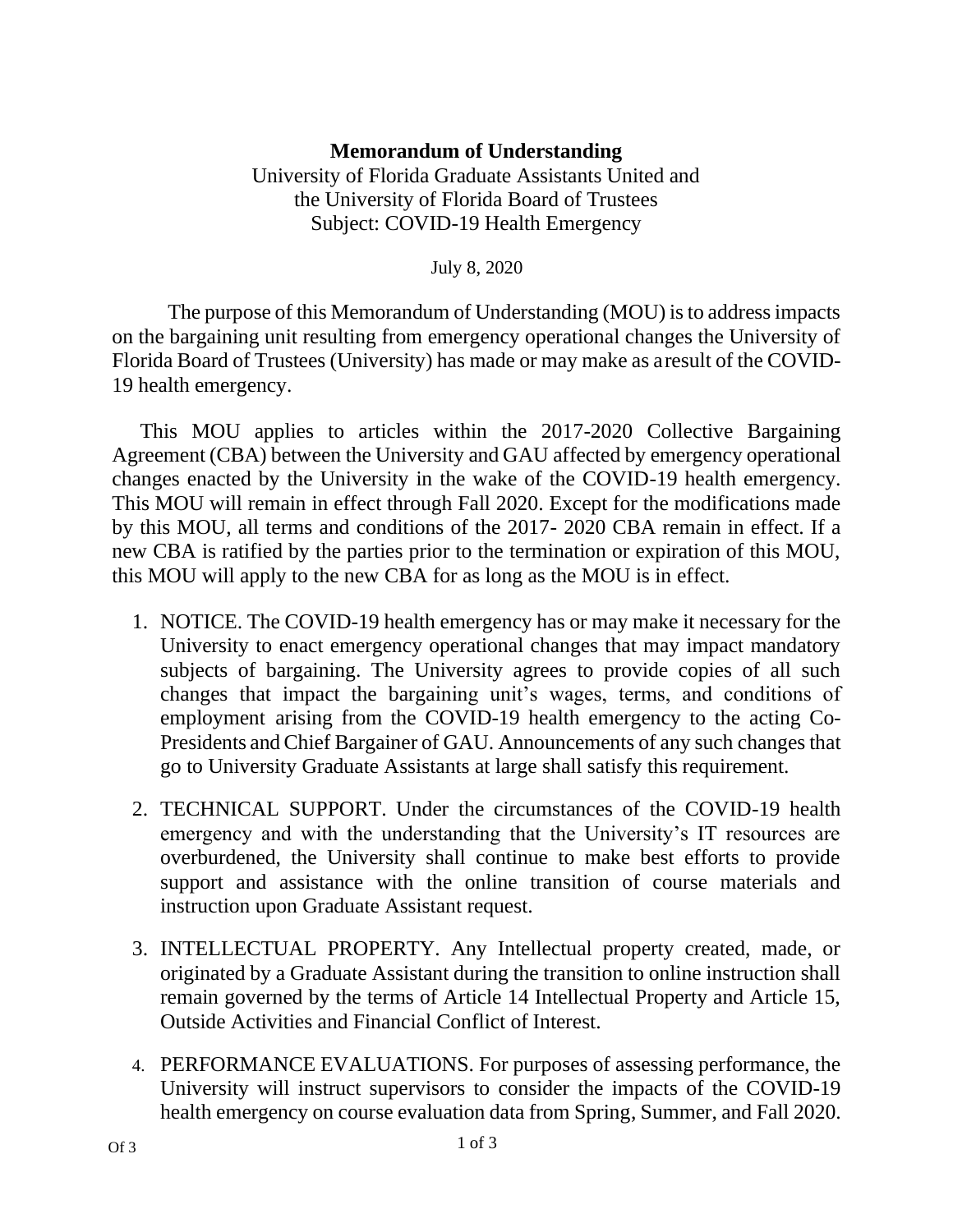## **Memorandum of Understanding**

University of Florida Graduate Assistants United and the University of Florida Board of Trustees Subject: COVID-19 Health Emergency

July 8, 2020

The purpose of this Memorandum of Understanding (MOU) is to address impacts on the bargaining unit resulting from emergency operational changes the University of Florida Board of Trustees (University) has made or may make as aresult of the COVID-19 health emergency.

This MOU applies to articles within the 2017-2020 Collective Bargaining Agreement (CBA) between the University and GAU affected by emergency operational changes enacted by the University in the wake of the COVID-19 health emergency. This MOU will remain in effect through Fall 2020. Except for the modifications made by this MOU, all terms and conditions of the 2017- 2020 CBA remain in effect. If a new CBA is ratified by the parties prior to the termination or expiration of this MOU, this MOU will apply to the new CBA for as long as the MOU is in effect.

- 1. NOTICE. The COVID-19 health emergency has or may make it necessary for the University to enact emergency operational changes that may impact mandatory subjects of bargaining. The University agrees to provide copies of all such changes that impact the bargaining unit's wages, terms, and conditions of employment arising from the COVID-19 health emergency to the acting Co-Presidents and Chief Bargainer of GAU. Announcements of any such changes that go to University Graduate Assistants at large shall satisfy this requirement.
- 2. TECHNICAL SUPPORT. Under the circumstances of the COVID-19 health emergency and with the understanding that the University's IT resources are overburdened, the University shall continue to make best efforts to provide support and assistance with the online transition of course materials and instruction upon Graduate Assistant request.
- 3. INTELLECTUAL PROPERTY. Any Intellectual property created, made, or originated by a Graduate Assistant during the transition to online instruction shall remain governed by the terms of Article 14 Intellectual Property and Article 15, Outside Activities and Financial Conflict of Interest.
- 4. PERFORMANCE EVALUATIONS. For purposes of assessing performance, the University will instruct supervisors to consider the impacts of the COVID-19 health emergency on course evaluation data from Spring, Summer, and Fall 2020.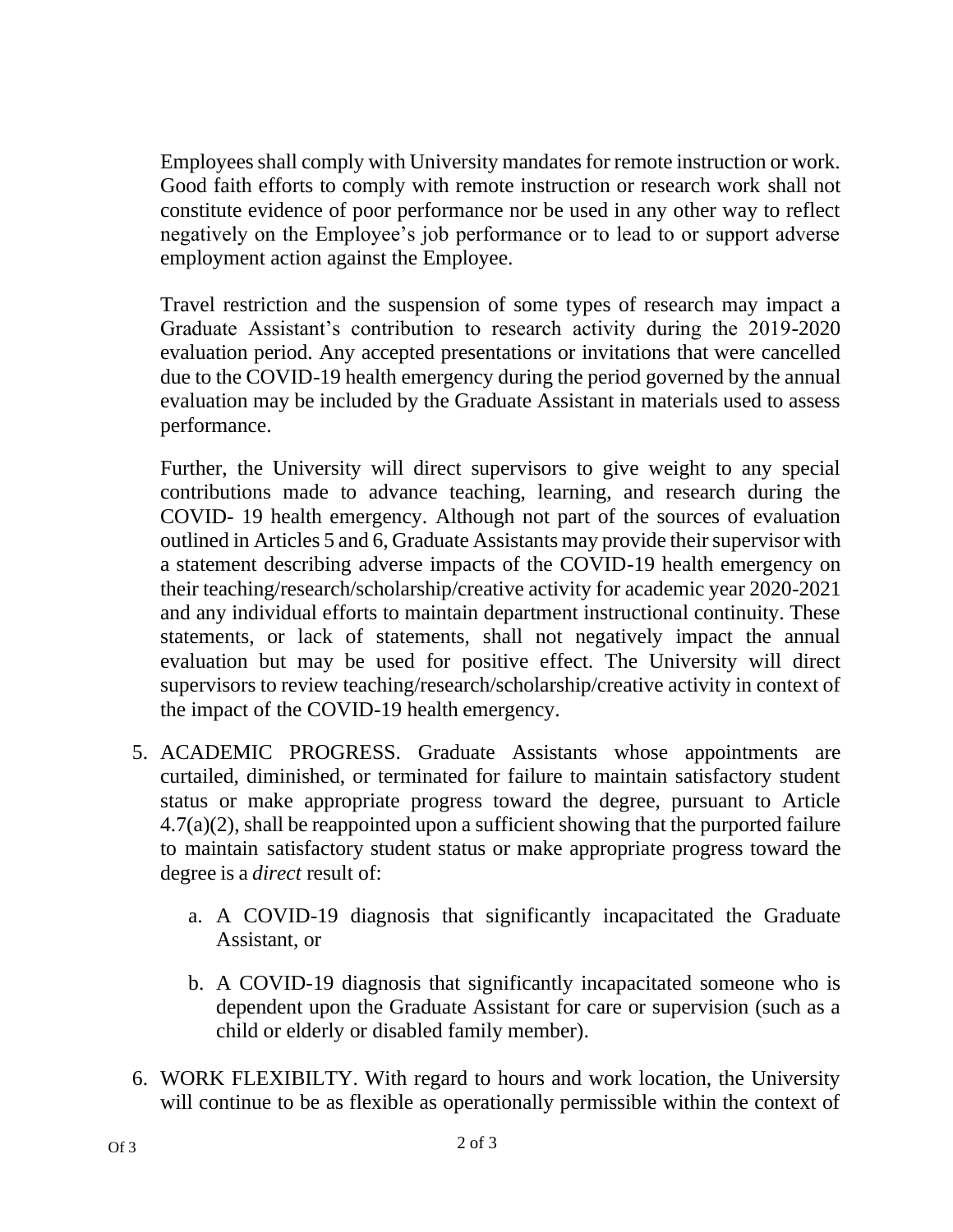Employees shall comply with University mandates for remote instruction or work. Good faith efforts to comply with remote instruction or research work shall not constitute evidence of poor performance nor be used in any other way to reflect negatively on the Employee's job performance or to lead to or support adverse employment action against the Employee.

Travel restriction and the suspension of some types of research may impact a Graduate Assistant's contribution to research activity during the 2019-2020 evaluation period. Any accepted presentations or invitations that were cancelled due to the COVID-19 health emergency during the period governed by the annual evaluation may be included by the Graduate Assistant in materials used to assess performance.

Further, the University will direct supervisors to give weight to any special contributions made to advance teaching, learning, and research during the COVID- 19 health emergency. Although not part of the sources of evaluation outlined in Articles 5 and 6, Graduate Assistants may provide their supervisor with a statement describing adverse impacts of the COVID-19 health emergency on their teaching/research/scholarship/creative activity for academic year 2020-2021 and any individual efforts to maintain department instructional continuity. These statements, or lack of statements, shall not negatively impact the annual evaluation but may be used for positive effect. The University will direct supervisors to review teaching/research/scholarship/creative activity in context of the impact of the COVID-19 health emergency.

- 5. ACADEMIC PROGRESS. Graduate Assistants whose appointments are curtailed, diminished, or terminated for failure to maintain satisfactory student status or make appropriate progress toward the degree, pursuant to Article 4.7(a)(2), shall be reappointed upon a sufficient showing that the purported failure to maintain satisfactory student status or make appropriate progress toward the degree is a *direct* result of:
	- a. A COVID-19 diagnosis that significantly incapacitated the Graduate Assistant, or
	- b. A COVID-19 diagnosis that significantly incapacitated someone who is dependent upon the Graduate Assistant for care or supervision (such as a child or elderly or disabled family member).
- 6. WORK FLEXIBILTY. With regard to hours and work location, the University will continue to be as flexible as operationally permissible within the context of